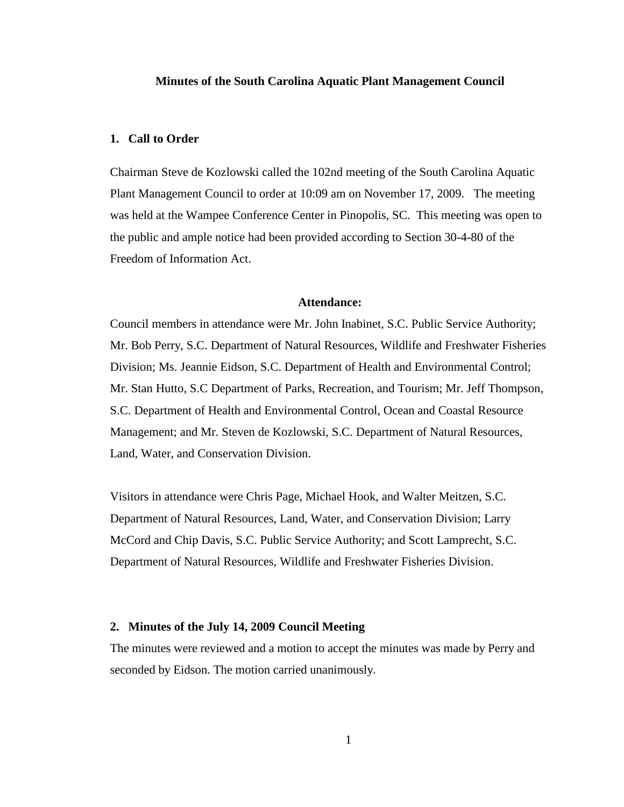# **Minutes of the South Carolina Aquatic Plant Management Council**

#### **1. Call to Order**

Chairman Steve de Kozlowski called the 102nd meeting of the South Carolina Aquatic Plant Management Council to order at 10:09 am on November 17, 2009. The meeting was held at the Wampee Conference Center in Pinopolis, SC. This meeting was open to the public and ample notice had been provided according to Section 30-4-80 of the Freedom of Information Act.

# **Attendance:**

Council members in attendance were Mr. John Inabinet, S.C. Public Service Authority; Mr. Bob Perry, S.C. Department of Natural Resources, Wildlife and Freshwater Fisheries Division; Ms. Jeannie Eidson, S.C. Department of Health and Environmental Control; Mr. Stan Hutto, S.C Department of Parks, Recreation, and Tourism; Mr. Jeff Thompson, S.C. Department of Health and Environmental Control, Ocean and Coastal Resource Management; and Mr. Steven de Kozlowski, S.C. Department of Natural Resources, Land, Water, and Conservation Division.

Visitors in attendance were Chris Page, Michael Hook, and Walter Meitzen, S.C. Department of Natural Resources, Land, Water, and Conservation Division; Larry McCord and Chip Davis, S.C. Public Service Authority; and Scott Lamprecht, S.C. Department of Natural Resources, Wildlife and Freshwater Fisheries Division.

## **2. Minutes of the July 14, 2009 Council Meeting**

The minutes were reviewed and a motion to accept the minutes was made by Perry and seconded by Eidson. The motion carried unanimously.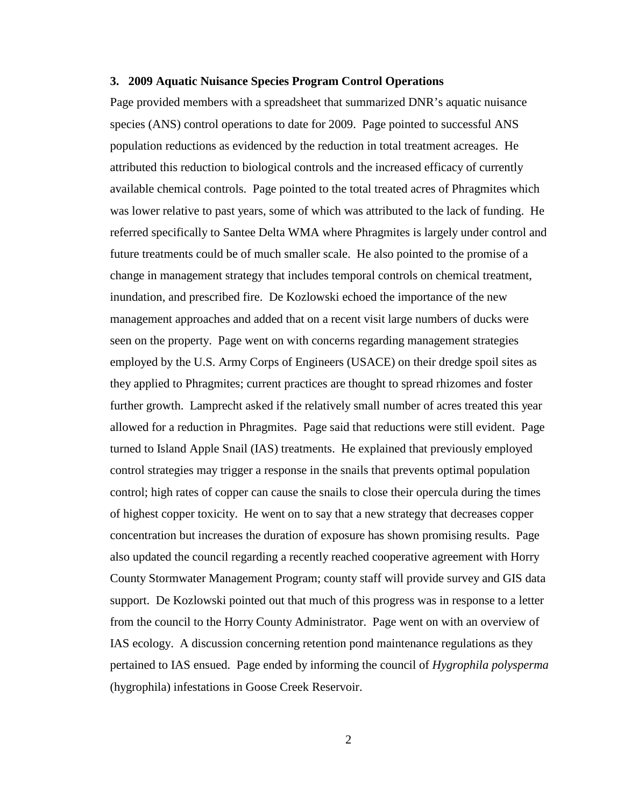#### **3. 2009 Aquatic Nuisance Species Program Control Operations**

Page provided members with a spreadsheet that summarized DNR's aquatic nuisance species (ANS) control operations to date for 2009. Page pointed to successful ANS population reductions as evidenced by the reduction in total treatment acreages. He attributed this reduction to biological controls and the increased efficacy of currently available chemical controls. Page pointed to the total treated acres of Phragmites which was lower relative to past years, some of which was attributed to the lack of funding. He referred specifically to Santee Delta WMA where Phragmites is largely under control and future treatments could be of much smaller scale. He also pointed to the promise of a change in management strategy that includes temporal controls on chemical treatment, inundation, and prescribed fire. De Kozlowski echoed the importance of the new management approaches and added that on a recent visit large numbers of ducks were seen on the property. Page went on with concerns regarding management strategies employed by the U.S. Army Corps of Engineers (USACE) on their dredge spoil sites as they applied to Phragmites; current practices are thought to spread rhizomes and foster further growth. Lamprecht asked if the relatively small number of acres treated this year allowed for a reduction in Phragmites. Page said that reductions were still evident. Page turned to Island Apple Snail (IAS) treatments. He explained that previously employed control strategies may trigger a response in the snails that prevents optimal population control; high rates of copper can cause the snails to close their opercula during the times of highest copper toxicity. He went on to say that a new strategy that decreases copper concentration but increases the duration of exposure has shown promising results. Page also updated the council regarding a recently reached cooperative agreement with Horry County Stormwater Management Program; county staff will provide survey and GIS data support. De Kozlowski pointed out that much of this progress was in response to a letter from the council to the Horry County Administrator. Page went on with an overview of IAS ecology. A discussion concerning retention pond maintenance regulations as they pertained to IAS ensued. Page ended by informing the council of *Hygrophila polysperma* (hygrophila) infestations in Goose Creek Reservoir.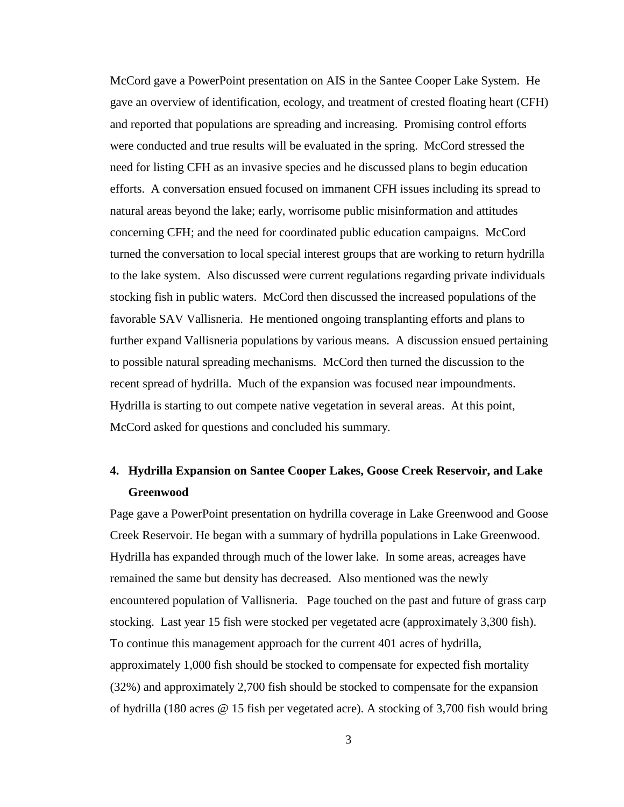McCord gave a PowerPoint presentation on AIS in the Santee Cooper Lake System. He gave an overview of identification, ecology, and treatment of crested floating heart (CFH) and reported that populations are spreading and increasing. Promising control efforts were conducted and true results will be evaluated in the spring. McCord stressed the need for listing CFH as an invasive species and he discussed plans to begin education efforts. A conversation ensued focused on immanent CFH issues including its spread to natural areas beyond the lake; early, worrisome public misinformation and attitudes concerning CFH; and the need for coordinated public education campaigns. McCord turned the conversation to local special interest groups that are working to return hydrilla to the lake system. Also discussed were current regulations regarding private individuals stocking fish in public waters. McCord then discussed the increased populations of the favorable SAV Vallisneria. He mentioned ongoing transplanting efforts and plans to further expand Vallisneria populations by various means. A discussion ensued pertaining to possible natural spreading mechanisms. McCord then turned the discussion to the recent spread of hydrilla. Much of the expansion was focused near impoundments. Hydrilla is starting to out compete native vegetation in several areas. At this point, McCord asked for questions and concluded his summary.

# **4. Hydrilla Expansion on Santee Cooper Lakes, Goose Creek Reservoir, and Lake Greenwood**

Page gave a PowerPoint presentation on hydrilla coverage in Lake Greenwood and Goose Creek Reservoir. He began with a summary of hydrilla populations in Lake Greenwood. Hydrilla has expanded through much of the lower lake. In some areas, acreages have remained the same but density has decreased. Also mentioned was the newly encountered population of Vallisneria. Page touched on the past and future of grass carp stocking. Last year 15 fish were stocked per vegetated acre (approximately 3,300 fish). To continue this management approach for the current 401 acres of hydrilla, approximately 1,000 fish should be stocked to compensate for expected fish mortality (32%) and approximately 2,700 fish should be stocked to compensate for the expansion of hydrilla (180 acres @ 15 fish per vegetated acre). A stocking of 3,700 fish would bring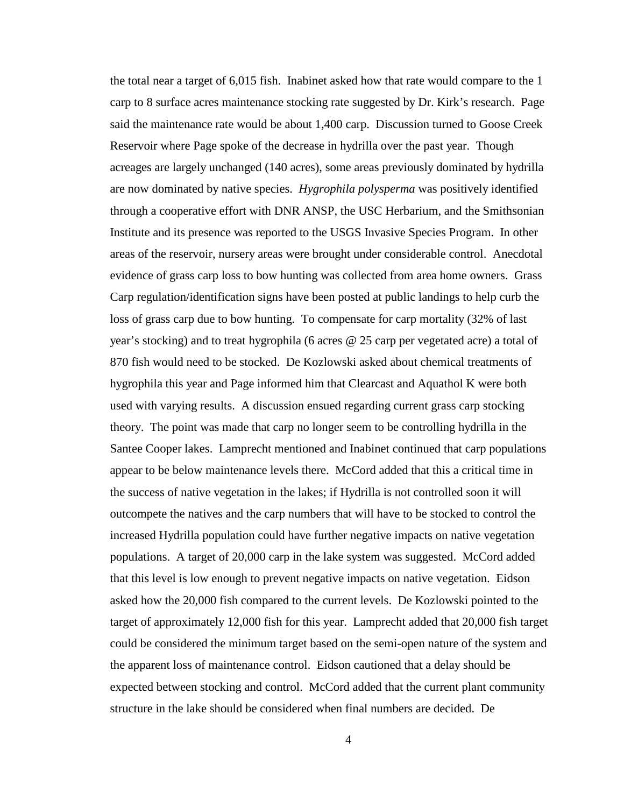the total near a target of 6,015 fish. Inabinet asked how that rate would compare to the 1 carp to 8 surface acres maintenance stocking rate suggested by Dr. Kirk's research. Page said the maintenance rate would be about 1,400 carp. Discussion turned to Goose Creek Reservoir where Page spoke of the decrease in hydrilla over the past year. Though acreages are largely unchanged (140 acres), some areas previously dominated by hydrilla are now dominated by native species. *Hygrophila polysperma* was positively identified through a cooperative effort with DNR ANSP, the USC Herbarium, and the Smithsonian Institute and its presence was reported to the USGS Invasive Species Program. In other areas of the reservoir, nursery areas were brought under considerable control. Anecdotal evidence of grass carp loss to bow hunting was collected from area home owners. Grass Carp regulation/identification signs have been posted at public landings to help curb the loss of grass carp due to bow hunting. To compensate for carp mortality (32% of last year's stocking) and to treat hygrophila (6 acres @ 25 carp per vegetated acre) a total of 870 fish would need to be stocked. De Kozlowski asked about chemical treatments of hygrophila this year and Page informed him that Clearcast and Aquathol K were both used with varying results. A discussion ensued regarding current grass carp stocking theory. The point was made that carp no longer seem to be controlling hydrilla in the Santee Cooper lakes. Lamprecht mentioned and Inabinet continued that carp populations appear to be below maintenance levels there. McCord added that this a critical time in the success of native vegetation in the lakes; if Hydrilla is not controlled soon it will outcompete the natives and the carp numbers that will have to be stocked to control the increased Hydrilla population could have further negative impacts on native vegetation populations. A target of 20,000 carp in the lake system was suggested. McCord added that this level is low enough to prevent negative impacts on native vegetation. Eidson asked how the 20,000 fish compared to the current levels. De Kozlowski pointed to the target of approximately 12,000 fish for this year. Lamprecht added that 20,000 fish target could be considered the minimum target based on the semi-open nature of the system and the apparent loss of maintenance control. Eidson cautioned that a delay should be expected between stocking and control. McCord added that the current plant community structure in the lake should be considered when final numbers are decided. De

4